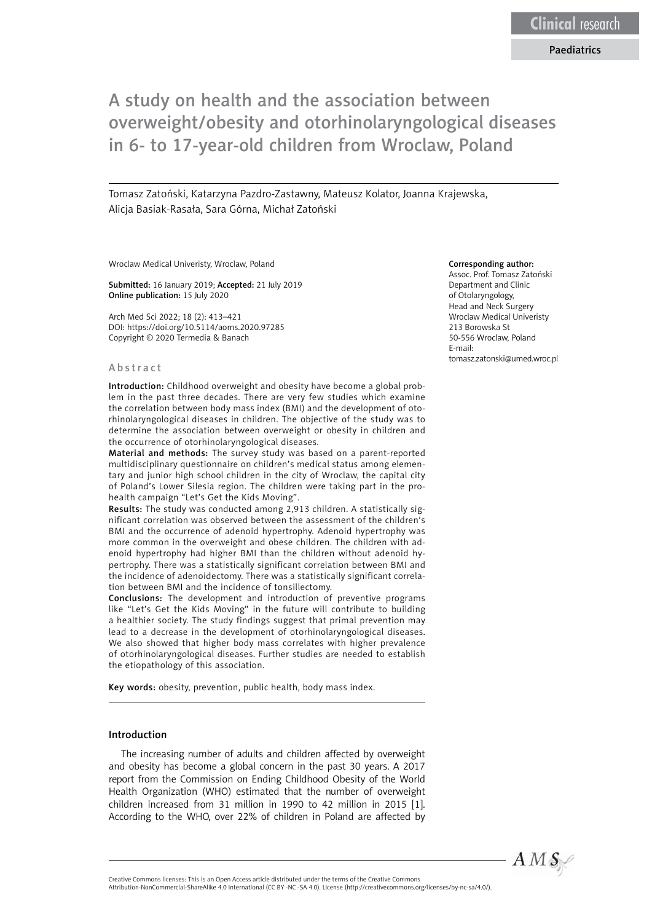#### Paediatrics

# A study on health and the association between overweight/obesity and otorhinolaryngological diseases in 6- to 17-year-old children from Wroclaw, Poland

Tomasz Zatoński, Katarzyna Pazdro-Zastawny, Mateusz Kolator, Joanna Krajewska, Alicja Basiak-Rasała, Sara Górna, Michał Zatoński

Wroclaw Medical Univeristy, Wroclaw, Poland

Submitted: 16 January 2019; Accepted: 21 July 2019 Online publication: 15 July 2020

Arch Med Sci 2022; 18 (2): 413–421 DOI: https://doi.org/10.5114/aoms.2020.97285 Copyright © 2020 Termedia & Banach

#### Abstract

Introduction: Childhood overweight and obesity have become a global problem in the past three decades. There are very few studies which examine the correlation between body mass index (BMI) and the development of otorhinolaryngological diseases in children. The objective of the study was to determine the association between overweight or obesity in children and the occurrence of otorhinolaryngological diseases.

Material and methods: The survey study was based on a parent-reported multidisciplinary questionnaire on children's medical status among elementary and junior high school children in the city of Wroclaw, the capital city of Poland's Lower Silesia region. The children were taking part in the prohealth campaign "Let's Get the Kids Moving".

Results: The study was conducted among 2,913 children. A statistically significant correlation was observed between the assessment of the children's BMI and the occurrence of adenoid hypertrophy. Adenoid hypertrophy was more common in the overweight and obese children. The children with adenoid hypertrophy had higher BMI than the children without adenoid hypertrophy. There was a statistically significant correlation between BMI and the incidence of adenoidectomy. There was a statistically significant correlation between BMI and the incidence of tonsillectomy.

Conclusions: The development and introduction of preventive programs like "Let's Get the Kids Moving" in the future will contribute to building a healthier society. The study findings suggest that primal prevention may lead to a decrease in the development of otorhinolaryngological diseases. We also showed that higher body mass correlates with higher prevalence of otorhinolaryngological diseases. Further studies are needed to establish the etiopathology of this association.

Key words: obesity, prevention, public health, body mass index.

#### Introduction

The increasing number of adults and children affected by overweight and obesity has become a global concern in the past 30 years. A 2017 report from the Commission on Ending Childhood Obesity of the World Health Organization (WHO) estimated that the number of overweight children increased from 31 million in 1990 to 42 million in 2015 [1]. According to the WHO, over 22% of children in Poland are affected by

#### Corresponding author:

Assoc. Prof. Tomasz Zatoński Department and Clinic of Otolaryngology, Head and Neck Surgery Wroclaw Medical Univeristy 213 Borowska St 50-556 Wroclaw, Poland E-mail: tomasz.zatonski@umed.wroc.pl



Attribution-NonCommercial-ShareAlike 4.0 International (CC BY -NC -SA 4.0). License (http://creativecommons.org/licenses/by-nc-sa/4.0/).

Creative Commons licenses: This is an Open Access article distributed under the terms of the Creative Commons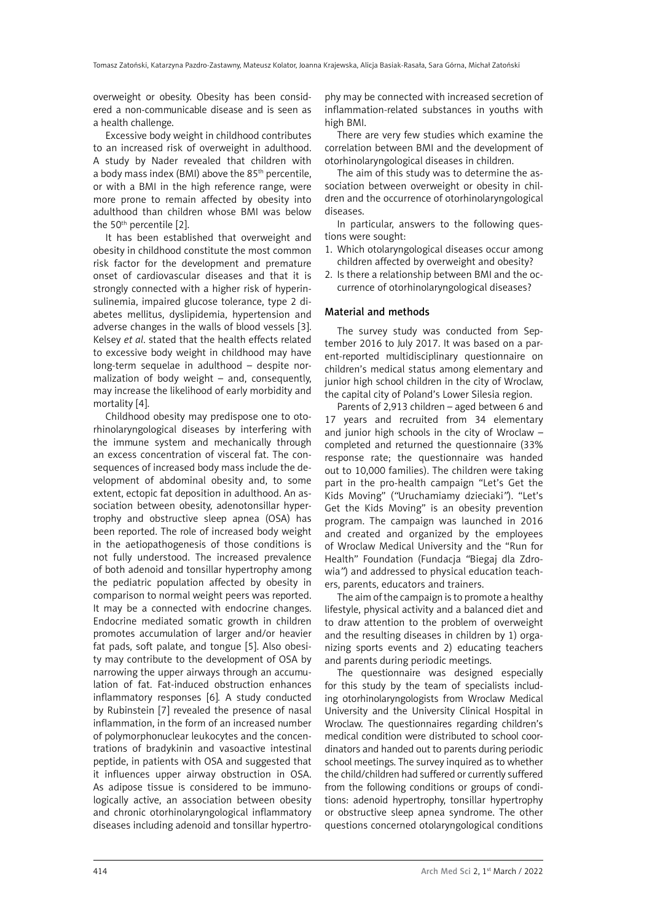overweight or obesity. Obesity has been considered a non-communicable disease and is seen as a health challenge.

Excessive body weight in childhood contributes to an increased risk of overweight in adulthood. A study by Nader revealed that children with a body mass index (BMI) above the 85th percentile, or with a BMI in the high reference range, were more prone to remain affected by obesity into adulthood than children whose BMI was below the 50th percentile [2].

It has been established that overweight and obesity in childhood constitute the most common risk factor for the development and premature onset of cardiovascular diseases and that it is strongly connected with a higher risk of hyperinsulinemia, impaired glucose tolerance, type 2 diabetes mellitus, dyslipidemia, hypertension and adverse changes in the walls of blood vessels [3]. Kelsey *et al*. stated that the health effects related to excessive body weight in childhood may have long-term sequelae in adulthood – despite normalization of body weight – and, consequently, may increase the likelihood of early morbidity and mortality [4].

Childhood obesity may predispose one to otorhinolaryngological diseases by interfering with the immune system and mechanically through an excess concentration of visceral fat. The consequences of increased body mass include the development of abdominal obesity and, to some extent, ectopic fat deposition in adulthood. An association between obesity, adenotonsillar hypertrophy and obstructive sleep apnea (OSA) has been reported. The role of increased body weight in the aetiopathogenesis of those conditions is not fully understood. The increased prevalence of both adenoid and tonsillar hypertrophy among the pediatric population affected by obesity in comparison to normal weight peers was reported. It may be a connected with endocrine changes. Endocrine mediated somatic growth in children promotes accumulation of larger and/or heavier fat pads, soft palate, and tongue [5]. Also obesity may contribute to the development of OSA by narrowing the upper airways through an accumulation of fat. Fat-induced obstruction enhances inflammatory responses [6]*.* A study conducted by Rubinstein [7] revealed the presence of nasal inflammation, in the form of an increased number of polymorphonuclear leukocytes and the concentrations of bradykinin and vasoactive intestinal peptide, in patients with OSA and suggested that it influences upper airway obstruction in OSA. As adipose tissue is considered to be immunologically active, an association between obesity and chronic otorhinolaryngological inflammatory diseases including adenoid and tonsillar hypertro-

phy may be connected with increased secretion of inflammation-related substances in youths with high BMI.

There are very few studies which examine the correlation between BMI and the development of otorhinolaryngological diseases in children.

The aim of this study was to determine the association between overweight or obesity in children and the occurrence of otorhinolaryngological diseases.

In particular, answers to the following questions were sought:

- 1. Which otolaryngological diseases occur among children affected by overweight and obesity?
- 2. Is there a relationship between BMI and the occurrence of otorhinolaryngological diseases?

#### Material and methods

The survey study was conducted from September 2016 to July 2017. It was based on a parent-reported multidisciplinary questionnaire on children's medical status among elementary and junior high school children in the city of Wroclaw, the capital city of Poland's Lower Silesia region.

Parents of 2,913 children – aged between 6 and 17 years and recruited from 34 elementary and junior high schools in the city of Wroclaw – completed and returned the questionnaire (33% response rate; the questionnaire was handed out to 10,000 families). The children were taking part in the pro-health campaign "Let's Get the Kids Moving" (*"*Uruchamiamy dzieciaki*"*). "Let's Get the Kids Moving" is an obesity prevention program. The campaign was launched in 2016 and created and organized by the employees of Wroclaw Medical University and the "Run for Health" Foundation (Fundacja *"*Biegaj dla Zdrowia*"*) and addressed to physical education teachers, parents, educators and trainers.

The aim of the campaign is to promote a healthy lifestyle, physical activity and a balanced diet and to draw attention to the problem of overweight and the resulting diseases in children by 1) organizing sports events and 2) educating teachers and parents during periodic meetings.

The questionnaire was designed especially for this study by the team of specialists including otorhinolaryngologists from Wroclaw Medical University and the University Clinical Hospital in Wroclaw. The questionnaires regarding children's medical condition were distributed to school coordinators and handed out to parents during periodic school meetings. The survey inquired as to whether the child/children had suffered or currently suffered from the following conditions or groups of conditions: adenoid hypertrophy, tonsillar hypertrophy or obstructive sleep apnea syndrome. The other questions concerned otolaryngological conditions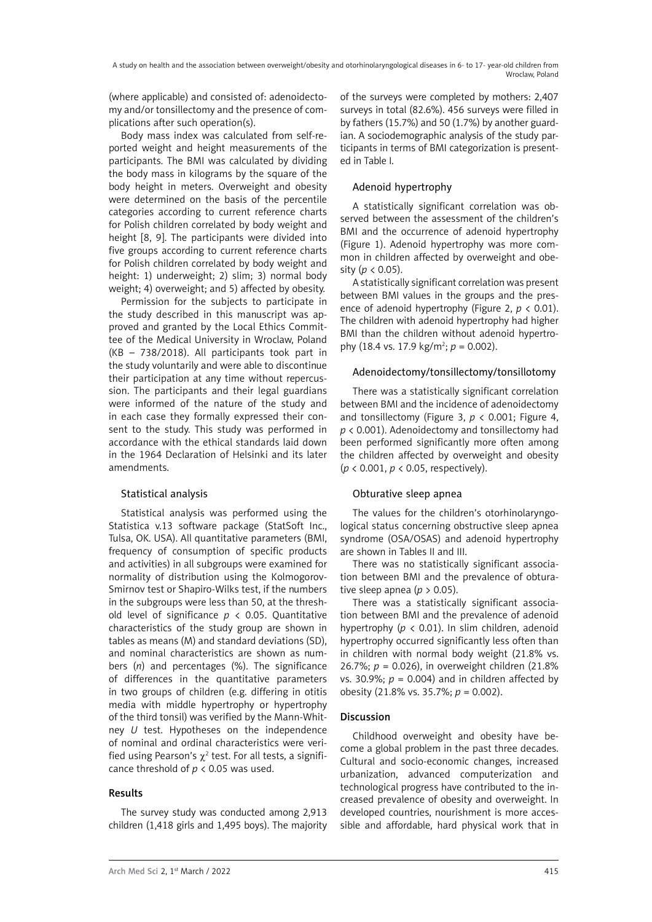(where applicable) and consisted of: adenoidectomy and/or tonsillectomy and the presence of complications after such operation(s).

Body mass index was calculated from self-reported weight and height measurements of the participants. The BMI was calculated by dividing the body mass in kilograms by the square of the body height in meters. Overweight and obesity were determined on the basis of the percentile categories according to current reference charts for Polish children correlated by body weight and height [8, 9]. The participants were divided into five groups according to current reference charts for Polish children correlated by body weight and height: 1) underweight; 2) slim; 3) normal body weight; 4) overweight; and 5) affected by obesity.

Permission for the subjects to participate in the study described in this manuscript was approved and granted by the Local Ethics Committee of the Medical University in Wroclaw, Poland (KB – 738/2018). All participants took part in the study voluntarily and were able to discontinue their participation at any time without repercussion. The participants and their legal guardians were informed of the nature of the study and in each case they formally expressed their consent to the study. This study was performed in accordance with the ethical standards laid down in the 1964 Declaration of Helsinki and its later amendments.

# Statistical analysis

Statistical analysis was performed using the Statistica v.13 software package (StatSoft Inc., Tulsa, OK. USA). All quantitative parameters (BMI, frequency of consumption of specific products and activities) in all subgroups were examined for normality of distribution using the Kolmogorov-Smirnov test or Shapiro-Wilks test, if the numbers in the subgroups were less than 50, at the threshold level of significance  $p \lt 0.05$ . Quantitative characteristics of the study group are shown in tables as means (M) and standard deviations (SD), and nominal characteristics are shown as numbers (*n*) and percentages (%). The significance of differences in the quantitative parameters in two groups of children (e.g. differing in otitis media with middle hypertrophy or hypertrophy of the third tonsil) was verified by the Mann-Whitney *U* test. Hypotheses on the independence of nominal and ordinal characteristics were verified using Pearson's  $\chi^2$  test. For all tests, a significance threshold of *p* < 0.05 was used.

## Results

The survey study was conducted among 2,913 children (1,418 girls and 1,495 boys). The majority of the surveys were completed by mothers: 2,407 surveys in total (82.6%). 456 surveys were filled in by fathers (15.7%) and 50 (1.7%) by another guardian. A sociodemographic analysis of the study participants in terms of BMI categorization is presented in Table I.

# Adenoid hypertrophy

A statistically significant correlation was observed between the assessment of the children's BMI and the occurrence of adenoid hypertrophy (Figure 1). Adenoid hypertrophy was more common in children affected by overweight and obesity (*p* < 0.05).

A statistically significant correlation was present between BMI values in the groups and the presence of adenoid hypertrophy (Figure 2, *p* < 0.01). The children with adenoid hypertrophy had higher BMI than the children without adenoid hypertrophy (18.4 vs. 17.9 kg/m<sup>2</sup>;  $p = 0.002$ ).

## Adenoidectomy/tonsillectomy/tonsillotomy

There was a statistically significant correlation between BMI and the incidence of adenoidectomy and tonsillectomy (Figure 3,  $p < 0.001$ ; Figure 4, *p* < 0.001). Adenoidectomy and tonsillectomy had been performed significantly more often among the children affected by overweight and obesity (*p* < 0.001, *p* < 0.05, respectively).

# Obturative sleep apnea

The values for the children's otorhinolaryngological status concerning obstructive sleep apnea syndrome (OSA/OSAS) and adenoid hypertrophy are shown in Tables II and III.

There was no statistically significant association between BMI and the prevalence of obturative sleep apnea ( $p > 0.05$ ).

There was a statistically significant association between BMI and the prevalence of adenoid hypertrophy (*p* < 0.01). In slim children, adenoid hypertrophy occurred significantly less often than in children with normal body weight (21.8% vs. 26.7%; *p* = 0.026), in overweight children (21.8% vs. 30.9%;  $p = 0.004$ ) and in children affected by obesity (21.8% vs. 35.7%; *p* = 0.002).

# Discussion

Childhood overweight and obesity have become a global problem in the past three decades. Cultural and socio-economic changes, increased urbanization, advanced computerization and technological progress have contributed to the increased prevalence of obesity and overweight. In developed countries, nourishment is more accessible and affordable, hard physical work that in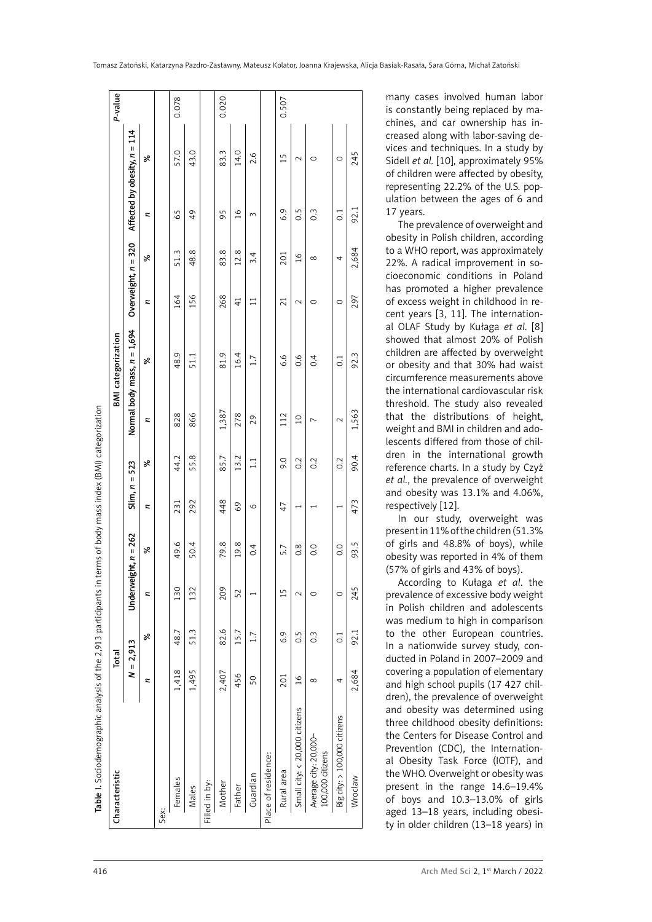| Characteristic                            | Total         |                  |         |                        |                 |       |                | <b>BMI</b> categorization     |                       |               |                  |                                | P-value |
|-------------------------------------------|---------------|------------------|---------|------------------------|-----------------|-------|----------------|-------------------------------|-----------------------|---------------|------------------|--------------------------------|---------|
|                                           | $N = 2,913$   |                  |         | Underweight, $n = 262$ | $Slim, n = 523$ |       |                | Normal body mass, $n = 1,694$ | Overweight, $n = 320$ |               |                  | Affected by obesity, $n = 114$ |         |
|                                           | z             | ಸ                | z       | ಸ                      | z               | ಸ     | z              | ಸ                             | z                     | ಸ             | z                | ಸಿ                             |         |
| Sex:                                      |               |                  |         |                        |                 |       |                |                               |                       |               |                  |                                |         |
| Females                                   | 1,418         | 48.7             | 130     | 49.6                   | 231             | 44.2  | 828            | 48.9                          | 164                   | 51.3          | 65               | 57.0                           | 0.078   |
| Males                                     | 1,495         | 51.3             | 132     | 50.4                   | 292             | 55.8  | 866            | 51.1                          | 156                   | 48.8          | 49               | 43.0                           |         |
| Filled in by:                             |               |                  |         |                        |                 |       |                |                               |                       |               |                  |                                |         |
| Mother                                    | 2,407         | 82.6             | 209     | 79.8                   | 448             | 85.7  | 1,387          | 81.9                          | 268                   | 83.8          | 95               | 83.3                           | 0.020   |
| Father                                    | 456           | 15.7             | 52      | 19.8                   | 69              | 13.2  | 278            | 16.4                          | $\frac{1}{4}$         | 12.8          | $\frac{8}{1}$    | 14.0                           |         |
| Guardian                                  | 50            | 1.7              |         | 0.4                    | O               | $\Xi$ | 29             | 1.7                           | $\Xi$                 | 3.4           | 3                | 2.6                            |         |
| Place of residence:                       |               |                  |         |                        |                 |       |                |                               |                       |               |                  |                                |         |
| Rural area                                | 201           | 6.9              | 15      | 5.7                    | 47              | 0.6   | 112            | 6.6                           | $\overline{21}$       | 201           | 6.9              | 15                             | 0.507   |
| Small city: < 20,000 citizens             | $\frac{6}{2}$ | $\ddot{0}$       | $\sim$  | $0.\overline{8}$       |                 | 0.2   | $\overline{a}$ | $\frac{6}{10}$                | $\sim$                | $\frac{8}{1}$ | 0.5              | $\sim$                         |         |
| Average city: 20,000-<br>100,000 citizens | $\infty$      | $\frac{3}{2}$    | 0       | 0.0                    |                 | 0.2   |                | 0.4                           | 0                     | $\infty$      | $0.\overline{3}$ | ○                              |         |
| Big city: > 100,000 citizens              | 4             | $\overline{0}$ : | $\circ$ | $\overline{0}$ .       |                 | 0.2   | $\sim$         | $\overline{C}$                | $\circ$               | 4             | $\overline{0}$ : | $\circ$                        |         |
| Wroclaw                                   | 2,684         | 92.1             | 245     | 93.5                   | 473             | 90.4  | 1,563          | 92.3                          | 297                   | 2,684         | 92.1             | 245                            |         |
|                                           |               |                  |         |                        |                 |       |                |                               |                       |               |                  |                                |         |

Table I. Sociodemographic analysis of the 2,913 participants in terms of body mass index (BMI) categorization

many cases involved human labor is constantly being replaced by ma chines, and car ownership has in creased along with labor-saving de vices and techniques. In a study by Sidell *et al.* [10], approximately 95% of children were affected by obesity, representing 22.2% of the U.S. pop ulation between the ages of 6 and 17 years.

The prevalence of overweight and obesity in Polish children, according to a WHO report, was approximately 22%. A radical improvement in so cioeconomic conditions in Poland has promoted a higher prevalence of excess weight in childhood in re cent years [3, 11]. The internation al OLAF Study by Kułaga *et al*. [8] showed that almost 20% of Polish children are affected by overweight or obesity and that 30% had waist circumference measurements above the international cardiovascular risk threshold. The study also revealed that the distributions of height, weight and BMI in children and ado lescents differed from those of chil dren in the international growth reference charts. In a study by Czyż *et al.*, the prevalence of overweight and obesity was 13.1% and 4.06%, respectively [12].

In our study, overweight was present in 11% of the children (51.3% of girls and 48.8% of boys), while obesity was reported in 4% of them (57% of girls and 43% of boys).

According to Kułaga *et al*. the prevalence of excessive body weight in Polish children and adolescents was medium to high in comparison to the other European countries. In a nationwide survey study, con ducted in Poland in 2007–2009 and covering a population of elementary and high school pupils (17 427 chil dren), the prevalence of overweight and obesity was determined using three childhood obesity definitions: the Centers for Disease Control and Prevention (CDC), the Internation al Obesity Task Force (IOTF), and the WHO. Overweight or obesity was present in the range 14.6–19.4% of boys and 10.3–13.0% of girls aged 13–18 years, including obesi ty in older children (13–18 years) in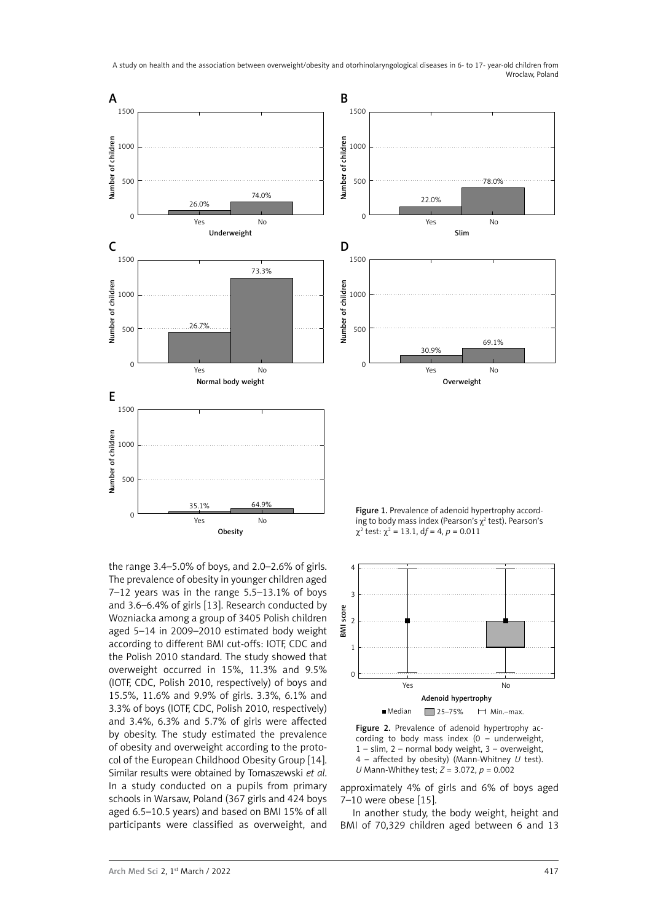A study on health and the association between overweight/obesity and otorhinolaryngological diseases in 6- to 17- year-old children from Wroclaw, Poland



the range 3.4–5.0% of boys, and 2.0–2.6% of girls. The prevalence of obesity in younger children aged 7–12 years was in the range 5.5–13.1% of boys and 3.6–6.4% of girls [13]. Research conducted by Wozniacka among a group of 3405 Polish children aged 5–14 in 2009–2010 estimated body weight according to different BMI cut-offs: IOTF, CDC and the Polish 2010 standard. The study showed that overweight occurred in 15%, 11.3% and 9.5% (IOTF, CDC, Polish 2010, respectively) of boys and 15.5%, 11.6% and 9.9% of girls. 3.3%, 6.1% and 3.3% of boys (IOTF, CDC, Polish 2010, respectively) and 3.4%, 6.3% and 5.7% of girls were affected by obesity. The study estimated the prevalence of obesity and overweight according to the protocol of the European Childhood Obesity Group [14]. Similar results were obtained by Tomaszewski *et al*. In a study conducted on a pupils from primary schools in Warsaw, Poland (367 girls and 424 boys aged 6.5–10.5 years) and based on BMI 15% of all participants were classified as overweight, and

 $\chi^2$  test:  $\chi^2$  = 13.1, df = 4, p = 0.011



Figure 2. Prevalence of adenoid hypertrophy according to body mass index (0 – underweight, 1 – slim, 2 – normal body weight, 3 – overweight, 4 – affected by obesity) (Mann-Whitney *U* test). *U* Mann-Whithey test; *Z* = 3.072, *p* = 0.002

approximately 4% of girls and 6% of boys aged 7–10 were obese [15].

In another study, the body weight, height and BMI of 70,329 children aged between 6 and 13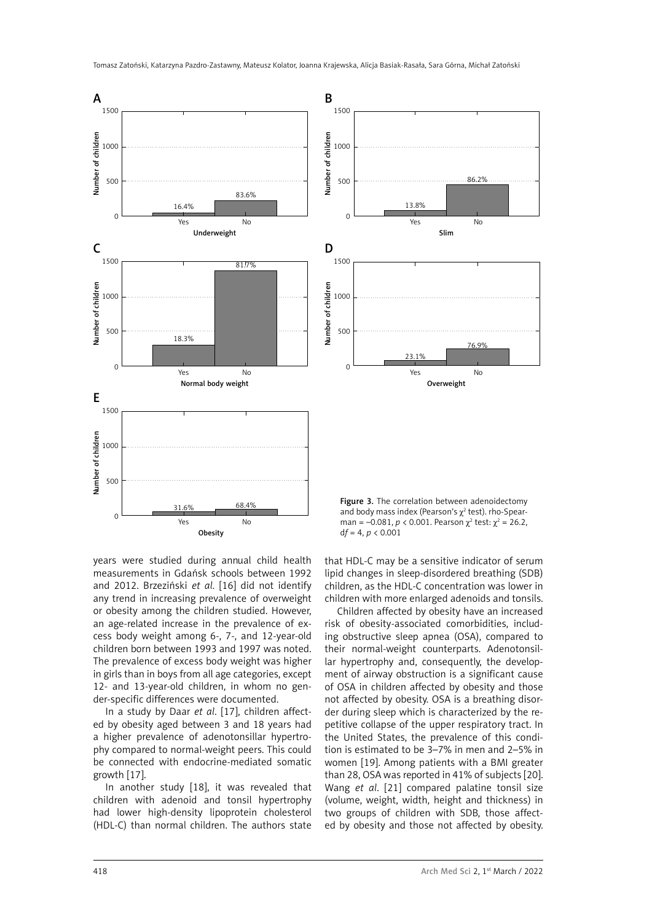

years were studied during annual child health measurements in Gdańsk schools between 1992 and 2012. Brzeziński *et al*. [16] did not identify any trend in increasing prevalence of overweight or obesity among the children studied. However, an age-related increase in the prevalence of excess body weight among 6-, 7-, and 12-year-old children born between 1993 and 1997 was noted. The prevalence of excess body weight was higher in girls than in boys from all age categories, except 12- and 13-year-old children, in whom no gender-specific differences were documented.

In a study by Daar *et al*. [17], children affected by obesity aged between 3 and 18 years had a higher prevalence of adenotonsillar hypertrophy compared to normal-weight peers. This could be connected with endocrine-mediated somatic growth [17].

In another study [18], it was revealed that children with adenoid and tonsil hypertrophy had lower high-density lipoprotein cholesterol (HDL-C) than normal children. The authors state that HDL-C may be a sensitive indicator of serum lipid changes in sleep-disordered breathing (SDB) children, as the HDL-C concentration was lower in children with more enlarged adenoids and tonsils.

Children affected by obesity have an increased risk of obesity-associated comorbidities, including obstructive sleep apnea (OSA), compared to their normal-weight counterparts. Adenotonsillar hypertrophy and, consequently, the development of airway obstruction is a significant cause of OSA in children affected by obesity and those not affected by obesity. OSA is a breathing disorder during sleep which is characterized by the repetitive collapse of the upper respiratory tract. In the United States, the prevalence of this condition is estimated to be 3–7% in men and 2–5% in women [19]. Among patients with a BMI greater than 28, OSA was reported in 41% of subjects [20]. Wang *et al*. [21] compared palatine tonsil size (volume, weight, width, height and thickness) in two groups of children with SDB, those affected by obesity and those not affected by obesity.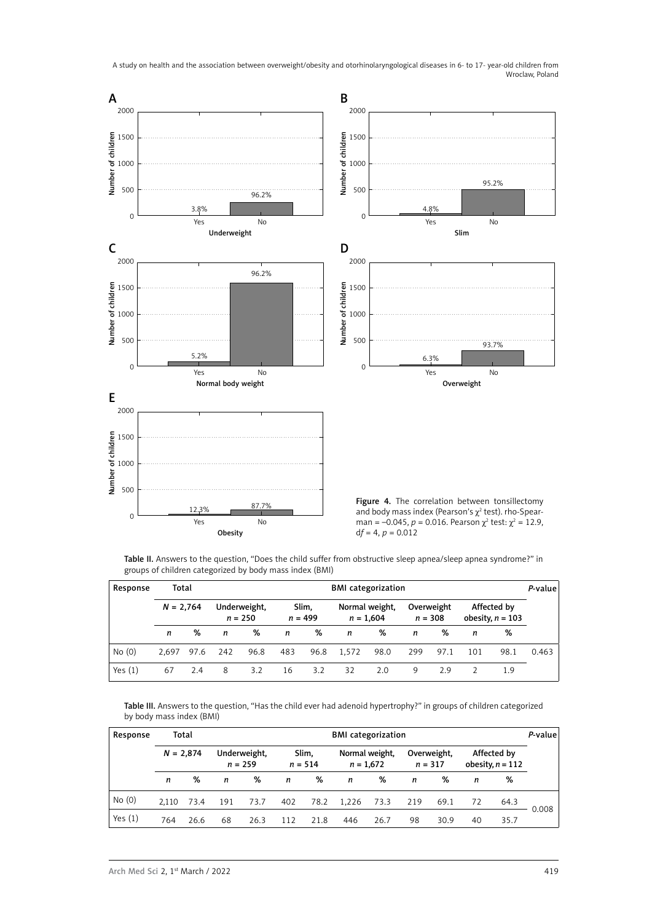A study on health and the association between overweight/obesity and otorhinolaryngological diseases in 6- to 17- year-old children from Wroclaw, Poland



Table II. Answers to the question, "Does the child suffer from obstructive sleep apnea/sleep apnea syndrome?" in groups of children categorized by body mass index (BMI)

| Response  | Total       |      |     |                           |     |                    | <b>BMI</b> categorization |                               |           |            |     |                                   | P-value |
|-----------|-------------|------|-----|---------------------------|-----|--------------------|---------------------------|-------------------------------|-----------|------------|-----|-----------------------------------|---------|
|           | $N = 2,764$ |      |     | Underweight,<br>$n = 250$ |     | Slim,<br>$n = 499$ |                           | Normal weight,<br>$n = 1,604$ | $n = 308$ | Overweight |     | Affected by<br>obesity, $n = 103$ |         |
|           | n           | %    | n   | %                         | n   | %                  | n                         | %                             | n         | ℅          | n   | %                                 |         |
| No(0)     | 2.697       | 97.6 | 242 | 96.8                      | 483 | 96.8               | 1.572                     | 98.0                          | 299       | 97.1       | 101 | 98.1                              | 0.463   |
| Yes $(1)$ | 67          | 2.4  | 8   | 3.2                       | 16  | 3.2                | 32                        | 2.0                           | 9         | 2.9        |     | 1.9                               |         |

Table III. Answers to the question, "Has the child ever had adenoid hypertrophy?" in groups of children categorized by body mass index (BMI)

| Response  |             | Total |     |                           |     |                    | <b>BMI</b> categorization     |      |     |                          |    |                                   | $P$ -value |
|-----------|-------------|-------|-----|---------------------------|-----|--------------------|-------------------------------|------|-----|--------------------------|----|-----------------------------------|------------|
|           | $N = 2,874$ |       |     | Underweight,<br>$n = 259$ |     | Slim.<br>$n = 514$ | Normal weight,<br>$n = 1,672$ |      |     | Overweight,<br>$n = 317$ |    | Affected by<br>obesity, $n = 112$ |            |
|           | n           | %     | n   | %                         | n   | %                  | n                             | %    | n   | %                        | n  | %                                 |            |
| No(0)     | 2.110       | 73.4  | 191 | 73.7                      | 402 | 78.2               | 1.226                         | 73.3 | 219 | 69.1                     | 72 | 64.3                              |            |
| Yes $(1)$ | 764         | 26.6  | 68  | 26.3                      | 112 | 21.8               | 446                           | 26.7 | 98  | 30.9                     | 40 | 35.7                              | 0.008      |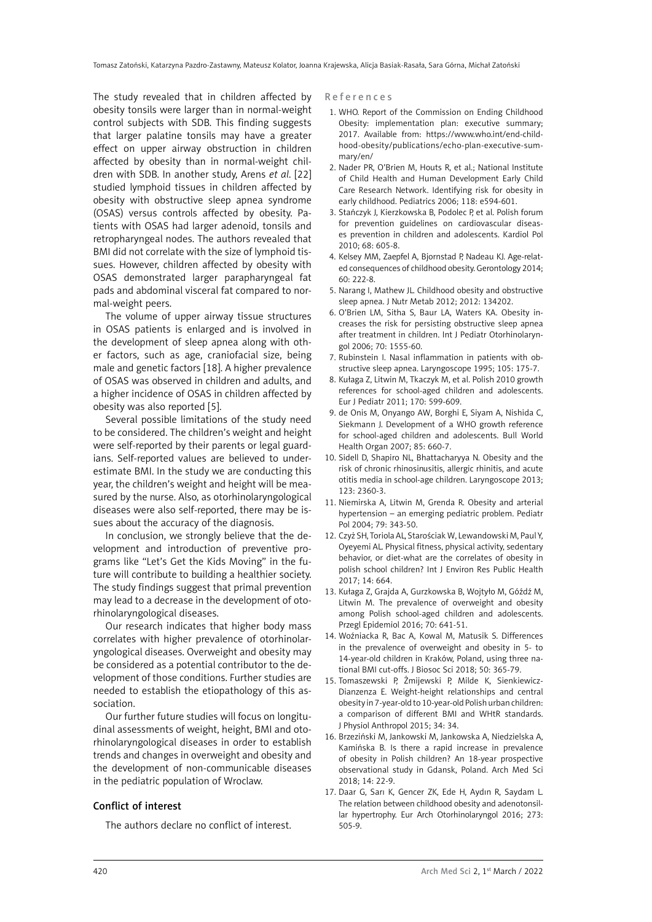The study revealed that in children affected by obesity tonsils were larger than in normal-weight control subjects with SDB. This finding suggests that larger palatine tonsils may have a greater effect on upper airway obstruction in children affected by obesity than in normal-weight children with SDB. In another study, Arens *et al*. [22] studied lymphoid tissues in children affected by obesity with obstructive sleep apnea syndrome (OSAS) versus controls affected by obesity. Patients with OSAS had larger adenoid, tonsils and retropharyngeal nodes. The authors revealed that BMI did not correlate with the size of lymphoid tissues. However, children affected by obesity with OSAS demonstrated larger parapharyngeal fat pads and abdominal visceral fat compared to normal-weight peers.

The volume of upper airway tissue structures in OSAS patients is enlarged and is involved in the development of sleep apnea along with other factors, such as age, craniofacial size, being male and genetic factors [18]. A higher prevalence of OSAS was observed in children and adults, and a higher incidence of OSAS in children affected by obesity was also reported [5].

Several possible limitations of the study need to be considered. The children's weight and height were self-reported by their parents or legal guardians. Self-reported values are believed to underestimate BMI. In the study we are conducting this year, the children's weight and height will be measured by the nurse. Also, as otorhinolaryngological diseases were also self-reported, there may be issues about the accuracy of the diagnosis.

In conclusion, we strongly believe that the development and introduction of preventive programs like "Let's Get the Kids Moving" in the future will contribute to building a healthier society. The study findings suggest that primal prevention may lead to a decrease in the development of otorhinolaryngological diseases.

Our research indicates that higher body mass correlates with higher prevalence of otorhinolaryngological diseases. Overweight and obesity may be considered as a potential contributor to the development of those conditions. Further studies are needed to establish the etiopathology of this association.

Our further future studies will focus on longitudinal assessments of weight, height, BMI and otorhinolaryngological diseases in order to establish trends and changes in overweight and obesity and the development of non-communicable diseases in the pediatric population of Wroclaw.

#### Conflict of interest

The authors declare no conflict of interest.

References

- 1. WHO. Report of the Commission on Ending Childhood Obesity: implementation plan: executive summary; 2017. Available from: https://www.who.int/end-childhood-obesity/publications/echo-plan-executive-summary/en/
- 2. Nader PR, O'Brien M, Houts R, et al.; National Institute of Child Health and Human Development Early Child Care Research Network. Identifying risk for obesity in early childhood. Pediatrics 2006; 118: e594-601.
- 3. Stańczyk J, Kierzkowska B, Podolec P, et al. Polish forum for prevention guidelines on cardiovascular diseases prevention in children and adolescents. Kardiol Pol 2010; 68: 605-8.
- 4. Kelsey MM, Zaepfel A, Bjornstad P, Nadeau KJ. Age-related consequences of childhood obesity. Gerontology 2014; 60: 222-8.
- 5. Narang I, Mathew JL. Childhood obesity and obstructive sleep apnea. J Nutr Metab 2012; 2012: 134202.
- 6. O'Brien LM, Sitha S, Baur LA, Waters KA. Obesity increases the risk for persisting obstructive sleep apnea after treatment in children. Int J Pediatr Otorhinolaryngol 2006; 70: 1555-60.
- 7. Rubinstein I. Nasal inflammation in patients with obstructive sleep apnea. Laryngoscope 1995; 105: 175-7.
- 8. Kułaga Z, Litwin M, Tkaczyk M, et al. Polish 2010 growth references for school-aged children and adolescents. Eur J Pediatr 2011; 170: 599-609.
- 9. de Onis M, Onyango AW, Borghi E, Siyam A, Nishida C, Siekmann J. Development of a WHO growth reference for school-aged children and adolescents. Bull World Health Organ 2007; 85: 660-7.
- 10. Sidell D, Shapiro NL, Bhattacharyya N. Obesity and the risk of chronic rhinosinusitis, allergic rhinitis, and acute otitis media in school-age children. Laryngoscope 2013; 123: 2360-3.
- 11. Niemirska A, Litwin M, Grenda R. Obesity and arterial hypertension – an emerging pediatric problem. Pediatr Pol 2004; 79: 343-50.
- 12. Czyż SH, Toriola AL, Starościak W, Lewandowski M, Paul Y, Oyeyemi AL. Physical fitness, physical activity, sedentary behavior, or diet-what are the correlates of obesity in polish school children? Int J Environ Res Public Health 2017; 14: 664.
- 13. Kułaga Z, Grajda A, Gurzkowska B, Wojtyło M, Góźdź M, Litwin M. The prevalence of overweight and obesity among Polish school-aged children and adolescents. Przegl Epidemiol 2016; 70: 641-51.
- 14. Woźniacka R, Bac A, Kowal M, Matusik S. Differences in the prevalence of overweight and obesity in 5- to 14-year-old children in Kraków, Poland, using three national BMI cut-offs. J Biosoc Sci 2018; 50: 365-79.
- 15. Tomaszewski P, Żmijewski P, Milde K, Sienkiewicz-Dianzenza E. Weight-height relationships and central obesity in 7-year-old to 10-year-old Polish urban children: a comparison of different BMI and WHtR standards. J Physiol Anthropol 2015; 34: 34.
- 16. Brzeziński M, Jankowski M, Jankowska A, Niedzielska A, Kamińska B. Is there a rapid increase in prevalence of obesity in Polish children? An 18-year prospective observational study in Gdansk, Poland. Arch Med Sci 2018; 14: 22-9.
- 17. Daar G, Sarı K, Gencer ZK, Ede H, Aydın R, Saydam L. The relation between childhood obesity and adenotonsillar hypertrophy. Eur Arch Otorhinolaryngol 2016; 273: 505-9.